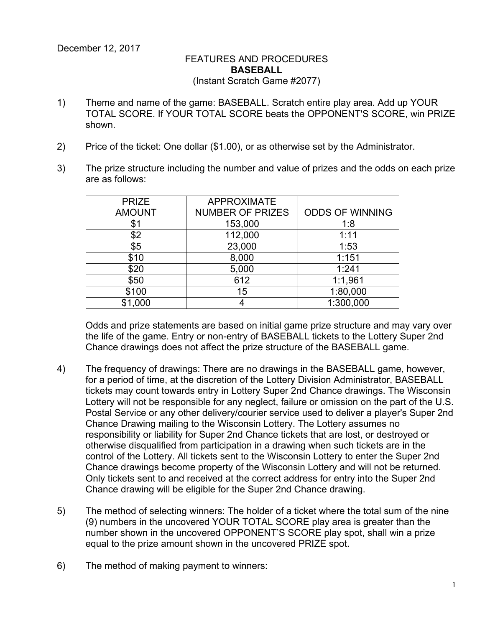## FEATURES AND PROCEDURES **BASEBALL** (Instant Scratch Game #2077)

- 1) Theme and name of the game: BASEBALL. Scratch entire play area. Add up YOUR TOTAL SCORE. If YOUR TOTAL SCORE beats the OPPONENT'S SCORE, win PRIZE shown.
- 2) Price of the ticket: One dollar (\$1.00), or as otherwise set by the Administrator.
- 3) The prize structure including the number and value of prizes and the odds on each prize are as follows:

| <b>PRIZE</b>  | <b>APPROXIMATE</b>      |                        |
|---------------|-------------------------|------------------------|
| <b>AMOUNT</b> | <b>NUMBER OF PRIZES</b> | <b>ODDS OF WINNING</b> |
| \$1           | 153,000                 | 1:8                    |
| \$2           | 112,000                 | 1:11                   |
| \$5           | 23,000                  | 1:53                   |
| \$10          | 8,000                   | 1:151                  |
| \$20          | 5,000                   | 1:241                  |
| \$50          | 612                     | 1:1,961                |
| \$100         | 15                      | 1:80,000               |
| \$1,000       |                         | 1:300,000              |

Odds and prize statements are based on initial game prize structure and may vary over the life of the game. Entry or non-entry of BASEBALL tickets to the Lottery Super 2nd Chance drawings does not affect the prize structure of the BASEBALL game.

- 4) The frequency of drawings: There are no drawings in the BASEBALL game, however, for a period of time, at the discretion of the Lottery Division Administrator, BASEBALL tickets may count towards entry in Lottery Super 2nd Chance drawings. The Wisconsin Lottery will not be responsible for any neglect, failure or omission on the part of the U.S. Postal Service or any other delivery/courier service used to deliver a player's Super 2nd Chance Drawing mailing to the Wisconsin Lottery. The Lottery assumes no responsibility or liability for Super 2nd Chance tickets that are lost, or destroyed or otherwise disqualified from participation in a drawing when such tickets are in the control of the Lottery. All tickets sent to the Wisconsin Lottery to enter the Super 2nd Chance drawings become property of the Wisconsin Lottery and will not be returned. Only tickets sent to and received at the correct address for entry into the Super 2nd Chance drawing will be eligible for the Super 2nd Chance drawing.
- 5) The method of selecting winners: The holder of a ticket where the total sum of the nine (9) numbers in the uncovered YOUR TOTAL SCORE play area is greater than the number shown in the uncovered OPPONENT'S SCORE play spot, shall win a prize equal to the prize amount shown in the uncovered PRIZE spot.
- 6) The method of making payment to winners: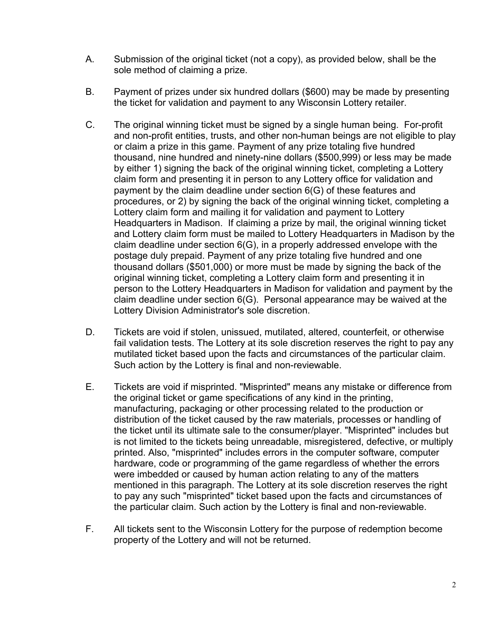- A. Submission of the original ticket (not a copy), as provided below, shall be the sole method of claiming a prize.
- B. Payment of prizes under six hundred dollars (\$600) may be made by presenting the ticket for validation and payment to any Wisconsin Lottery retailer.
- C. The original winning ticket must be signed by a single human being. For-profit and non-profit entities, trusts, and other non-human beings are not eligible to play or claim a prize in this game. Payment of any prize totaling five hundred thousand, nine hundred and ninety-nine dollars (\$500,999) or less may be made by either 1) signing the back of the original winning ticket, completing a Lottery claim form and presenting it in person to any Lottery office for validation and payment by the claim deadline under section 6(G) of these features and procedures, or 2) by signing the back of the original winning ticket, completing a Lottery claim form and mailing it for validation and payment to Lottery Headquarters in Madison. If claiming a prize by mail, the original winning ticket and Lottery claim form must be mailed to Lottery Headquarters in Madison by the claim deadline under section 6(G), in a properly addressed envelope with the postage duly prepaid. Payment of any prize totaling five hundred and one thousand dollars (\$501,000) or more must be made by signing the back of the original winning ticket, completing a Lottery claim form and presenting it in person to the Lottery Headquarters in Madison for validation and payment by the claim deadline under section 6(G). Personal appearance may be waived at the Lottery Division Administrator's sole discretion.
- D. Tickets are void if stolen, unissued, mutilated, altered, counterfeit, or otherwise fail validation tests. The Lottery at its sole discretion reserves the right to pay any mutilated ticket based upon the facts and circumstances of the particular claim. Such action by the Lottery is final and non-reviewable.
- E. Tickets are void if misprinted. "Misprinted" means any mistake or difference from the original ticket or game specifications of any kind in the printing, manufacturing, packaging or other processing related to the production or distribution of the ticket caused by the raw materials, processes or handling of the ticket until its ultimate sale to the consumer/player. "Misprinted" includes but is not limited to the tickets being unreadable, misregistered, defective, or multiply printed. Also, "misprinted" includes errors in the computer software, computer hardware, code or programming of the game regardless of whether the errors were imbedded or caused by human action relating to any of the matters mentioned in this paragraph. The Lottery at its sole discretion reserves the right to pay any such "misprinted" ticket based upon the facts and circumstances of the particular claim. Such action by the Lottery is final and non-reviewable.
- F. All tickets sent to the Wisconsin Lottery for the purpose of redemption become property of the Lottery and will not be returned.